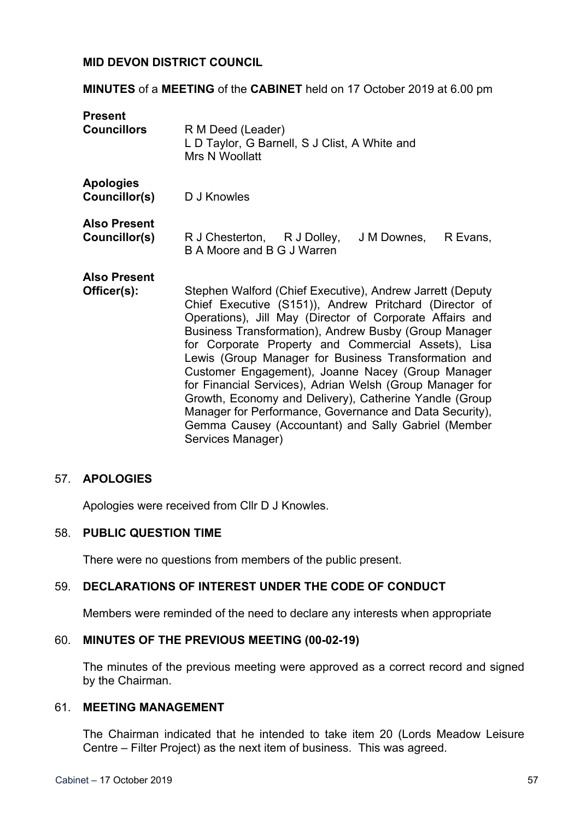### **MID DEVON DISTRICT COUNCIL**

**MINUTES** of a **MEETING** of the **CABINET** held on 17 October 2019 at 6.00 pm

| <b>Present</b><br><b>Councillors</b> | R M Deed (Leader)<br>L D Taylor, G Barnell, S J Clist, A White and<br>Mrs N Woollatt                                                                                                                                                                                                                                                                                                                                                                                                                                                                                                                                                                                      |
|--------------------------------------|---------------------------------------------------------------------------------------------------------------------------------------------------------------------------------------------------------------------------------------------------------------------------------------------------------------------------------------------------------------------------------------------------------------------------------------------------------------------------------------------------------------------------------------------------------------------------------------------------------------------------------------------------------------------------|
| <b>Apologies</b><br>Councillor(s)    | D J Knowles                                                                                                                                                                                                                                                                                                                                                                                                                                                                                                                                                                                                                                                               |
| <b>Also Present</b><br>Councillor(s) | R J Chesterton, R J Dolley,<br>J M Downes,<br>R Evans,<br>B A Moore and B G J Warren                                                                                                                                                                                                                                                                                                                                                                                                                                                                                                                                                                                      |
| <b>Also Present</b><br>Officer(s):   | Stephen Walford (Chief Executive), Andrew Jarrett (Deputy<br>Chief Executive (S151)), Andrew Pritchard (Director of<br>Operations), Jill May (Director of Corporate Affairs and<br>Business Transformation), Andrew Busby (Group Manager<br>for Corporate Property and Commercial Assets), Lisa<br>Lewis (Group Manager for Business Transformation and<br>Customer Engagement), Joanne Nacey (Group Manager<br>for Financial Services), Adrian Welsh (Group Manager for<br>Growth, Economy and Delivery), Catherine Yandle (Group<br>Manager for Performance, Governance and Data Security),<br>Gemma Causey (Accountant) and Sally Gabriel (Member<br>Services Manager) |

### 57. **APOLOGIES**

Apologies were received from Cllr D J Knowles.

### 58. **PUBLIC QUESTION TIME**

There were no questions from members of the public present.

### 59. **DECLARATIONS OF INTEREST UNDER THE CODE OF CONDUCT**

Members were reminded of the need to declare any interests when appropriate

#### 60. **MINUTES OF THE PREVIOUS MEETING (00-02-19)**

The minutes of the previous meeting were approved as a correct record and signed by the Chairman.

#### 61. **MEETING MANAGEMENT**

The Chairman indicated that he intended to take item 20 (Lords Meadow Leisure Centre – Filter Project) as the next item of business. This was agreed.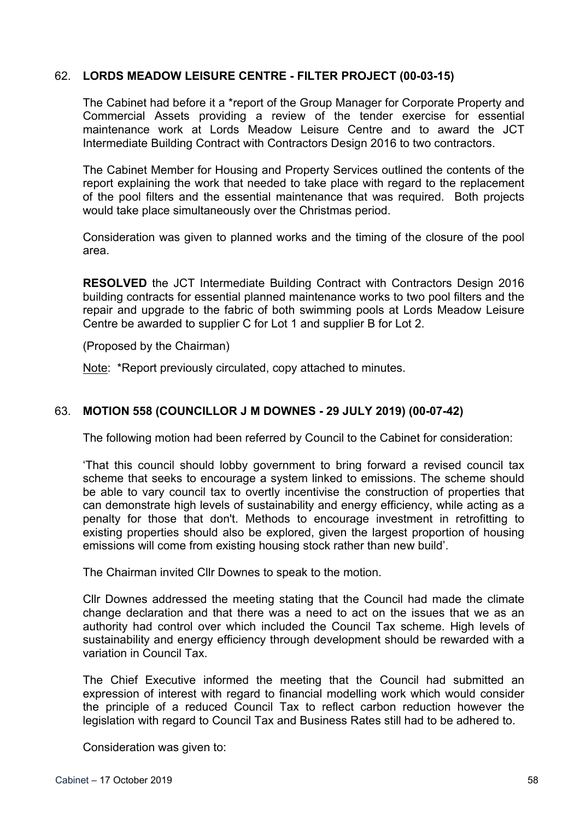## 62. **LORDS MEADOW LEISURE CENTRE - FILTER PROJECT (00-03-15)**

The Cabinet had before it a \*report of the Group Manager for Corporate Property and Commercial Assets providing a review of the tender exercise for essential maintenance work at Lords Meadow Leisure Centre and to award the JCT Intermediate Building Contract with Contractors Design 2016 to two contractors.

The Cabinet Member for Housing and Property Services outlined the contents of the report explaining the work that needed to take place with regard to the replacement of the pool filters and the essential maintenance that was required. Both projects would take place simultaneously over the Christmas period.

Consideration was given to planned works and the timing of the closure of the pool area.

**RESOLVED** the JCT Intermediate Building Contract with Contractors Design 2016 building contracts for essential planned maintenance works to two pool filters and the repair and upgrade to the fabric of both swimming pools at Lords Meadow Leisure Centre be awarded to supplier C for Lot 1 and supplier B for Lot 2.

(Proposed by the Chairman)

Note: \*Report previously circulated, copy attached to minutes.

## 63. **MOTION 558 (COUNCILLOR J M DOWNES - 29 JULY 2019) (00-07-42)**

The following motion had been referred by Council to the Cabinet for consideration:

'That this council should lobby government to bring forward a revised council tax scheme that seeks to encourage a system linked to emissions. The scheme should be able to vary council tax to overtly incentivise the construction of properties that can demonstrate high levels of sustainability and energy efficiency, while acting as a penalty for those that don't. Methods to encourage investment in retrofitting to existing properties should also be explored, given the largest proportion of housing emissions will come from existing housing stock rather than new build'.

The Chairman invited Cllr Downes to speak to the motion.

Cllr Downes addressed the meeting stating that the Council had made the climate change declaration and that there was a need to act on the issues that we as an authority had control over which included the Council Tax scheme. High levels of sustainability and energy efficiency through development should be rewarded with a variation in Council Tax.

The Chief Executive informed the meeting that the Council had submitted an expression of interest with regard to financial modelling work which would consider the principle of a reduced Council Tax to reflect carbon reduction however the legislation with regard to Council Tax and Business Rates still had to be adhered to.

Consideration was given to: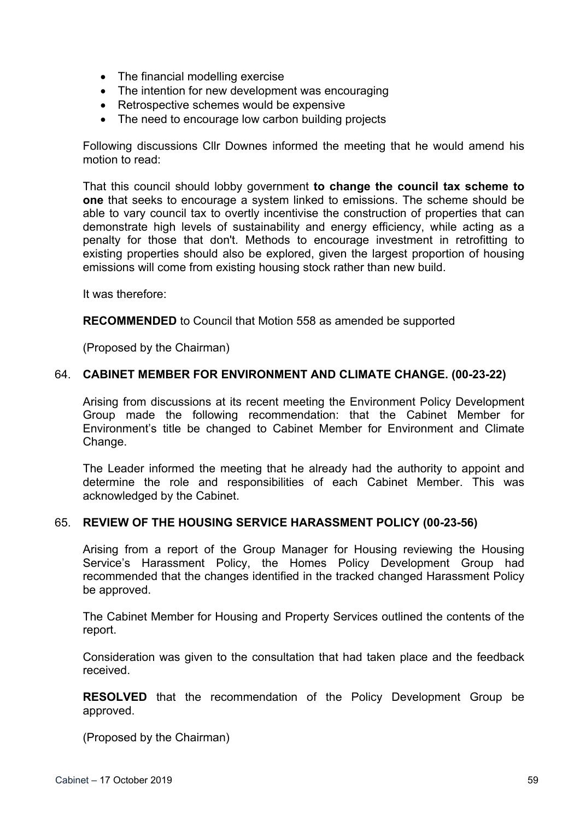- The financial modelling exercise
- The intention for new development was encouraging
- Retrospective schemes would be expensive
- The need to encourage low carbon building projects

Following discussions Cllr Downes informed the meeting that he would amend his motion to read:

That this council should lobby government **to change the council tax scheme to one** that seeks to encourage a system linked to emissions. The scheme should be able to vary council tax to overtly incentivise the construction of properties that can demonstrate high levels of sustainability and energy efficiency, while acting as a penalty for those that don't. Methods to encourage investment in retrofitting to existing properties should also be explored, given the largest proportion of housing emissions will come from existing housing stock rather than new build.

It was therefore:

**RECOMMENDED** to Council that Motion 558 as amended be supported

(Proposed by the Chairman)

#### 64. **CABINET MEMBER FOR ENVIRONMENT AND CLIMATE CHANGE. (00-23-22)**

Arising from discussions at its recent meeting the Environment Policy Development Group made the following recommendation: that the Cabinet Member for Environment's title be changed to Cabinet Member for Environment and Climate Change.

The Leader informed the meeting that he already had the authority to appoint and determine the role and responsibilities of each Cabinet Member. This was acknowledged by the Cabinet.

#### 65. **REVIEW OF THE HOUSING SERVICE HARASSMENT POLICY (00-23-56)**

Arising from a report of the Group Manager for Housing reviewing the Housing Service's Harassment Policy, the Homes Policy Development Group had recommended that the changes identified in the tracked changed Harassment Policy be approved.

The Cabinet Member for Housing and Property Services outlined the contents of the report.

Consideration was given to the consultation that had taken place and the feedback received.

**RESOLVED** that the recommendation of the Policy Development Group be approved.

(Proposed by the Chairman)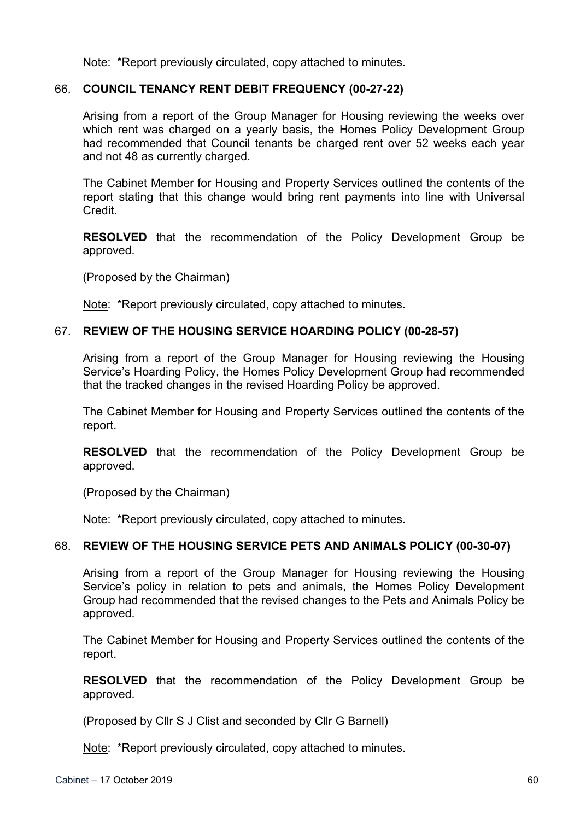Note: \*Report previously circulated, copy attached to minutes.

### 66. **COUNCIL TENANCY RENT DEBIT FREQUENCY (00-27-22)**

Arising from a report of the Group Manager for Housing reviewing the weeks over which rent was charged on a yearly basis, the Homes Policy Development Group had recommended that Council tenants be charged rent over 52 weeks each year and not 48 as currently charged.

The Cabinet Member for Housing and Property Services outlined the contents of the report stating that this change would bring rent payments into line with Universal Credit.

**RESOLVED** that the recommendation of the Policy Development Group be approved.

(Proposed by the Chairman)

Note: \*Report previously circulated, copy attached to minutes.

### 67. **REVIEW OF THE HOUSING SERVICE HOARDING POLICY (00-28-57)**

Arising from a report of the Group Manager for Housing reviewing the Housing Service's Hoarding Policy, the Homes Policy Development Group had recommended that the tracked changes in the revised Hoarding Policy be approved.

The Cabinet Member for Housing and Property Services outlined the contents of the report.

**RESOLVED** that the recommendation of the Policy Development Group be approved.

(Proposed by the Chairman)

Note: \*Report previously circulated, copy attached to minutes.

### 68. **REVIEW OF THE HOUSING SERVICE PETS AND ANIMALS POLICY (00-30-07)**

Arising from a report of the Group Manager for Housing reviewing the Housing Service's policy in relation to pets and animals, the Homes Policy Development Group had recommended that the revised changes to the Pets and Animals Policy be approved.

The Cabinet Member for Housing and Property Services outlined the contents of the report.

**RESOLVED** that the recommendation of the Policy Development Group be approved.

(Proposed by Cllr S J Clist and seconded by Cllr G Barnell)

Note: \*Report previously circulated, copy attached to minutes.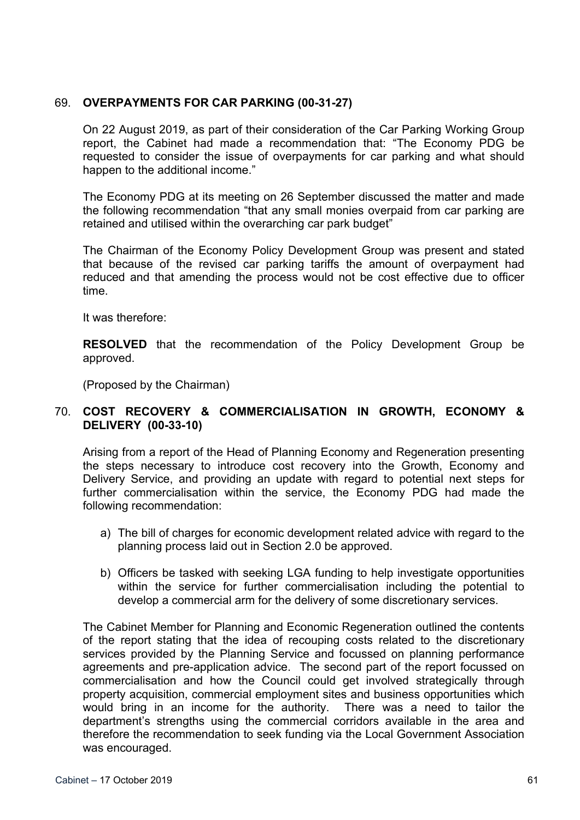## 69. **OVERPAYMENTS FOR CAR PARKING (00-31-27)**

On 22 August 2019, as part of their consideration of the Car Parking Working Group report, the Cabinet had made a recommendation that: "The Economy PDG be requested to consider the issue of overpayments for car parking and what should happen to the additional income."

The Economy PDG at its meeting on 26 September discussed the matter and made the following recommendation "that any small monies overpaid from car parking are retained and utilised within the overarching car park budget"

The Chairman of the Economy Policy Development Group was present and stated that because of the revised car parking tariffs the amount of overpayment had reduced and that amending the process would not be cost effective due to officer time.

It was therefore:

**RESOLVED** that the recommendation of the Policy Development Group be approved.

(Proposed by the Chairman)

### 70. **COST RECOVERY & COMMERCIALISATION IN GROWTH, ECONOMY & DELIVERY (00-33-10)**

Arising from a report of the Head of Planning Economy and Regeneration presenting the steps necessary to introduce cost recovery into the Growth, Economy and Delivery Service, and providing an update with regard to potential next steps for further commercialisation within the service, the Economy PDG had made the following recommendation:

- a) The bill of charges for economic development related advice with regard to the planning process laid out in Section 2.0 be approved.
- b) Officers be tasked with seeking LGA funding to help investigate opportunities within the service for further commercialisation including the potential to develop a commercial arm for the delivery of some discretionary services.

The Cabinet Member for Planning and Economic Regeneration outlined the contents of the report stating that the idea of recouping costs related to the discretionary services provided by the Planning Service and focussed on planning performance agreements and pre-application advice. The second part of the report focussed on commercialisation and how the Council could get involved strategically through property acquisition, commercial employment sites and business opportunities which would bring in an income for the authority. There was a need to tailor the department's strengths using the commercial corridors available in the area and therefore the recommendation to seek funding via the Local Government Association was encouraged.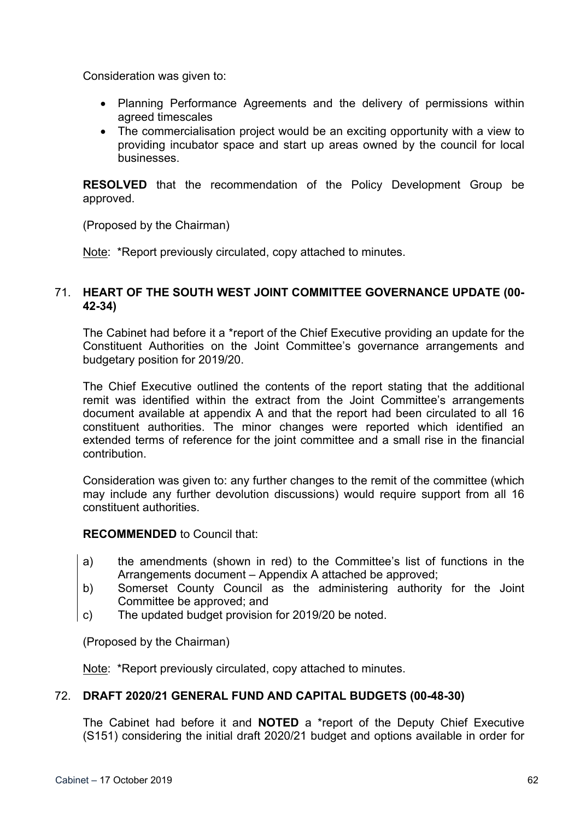Consideration was given to:

- Planning Performance Agreements and the delivery of permissions within agreed timescales
- The commercialisation project would be an exciting opportunity with a view to providing incubator space and start up areas owned by the council for local businesses.

**RESOLVED** that the recommendation of the Policy Development Group be approved.

(Proposed by the Chairman)

Note: \*Report previously circulated, copy attached to minutes.

## 71. **HEART OF THE SOUTH WEST JOINT COMMITTEE GOVERNANCE UPDATE (00- 42-34)**

The Cabinet had before it a \*report of the Chief Executive providing an update for the Constituent Authorities on the Joint Committee's governance arrangements and budgetary position for 2019/20.

The Chief Executive outlined the contents of the report stating that the additional remit was identified within the extract from the Joint Committee's arrangements document available at appendix A and that the report had been circulated to all 16 constituent authorities. The minor changes were reported which identified an extended terms of reference for the joint committee and a small rise in the financial contribution.

Consideration was given to: any further changes to the remit of the committee (which may include any further devolution discussions) would require support from all 16 constituent authorities.

**RECOMMENDED** to Council that:

- a) the amendments (shown in red) to the Committee's list of functions in the Arrangements document – Appendix A attached be approved;
- b) Somerset County Council as the administering authority for the Joint Committee be approved; and
- c) The updated budget provision for 2019/20 be noted.

(Proposed by the Chairman)

Note: \*Report previously circulated, copy attached to minutes.

### 72. **DRAFT 2020/21 GENERAL FUND AND CAPITAL BUDGETS (00-48-30)**

The Cabinet had before it and **NOTED** a \*report of the Deputy Chief Executive (S151) considering the initial draft 2020/21 budget and options available in order for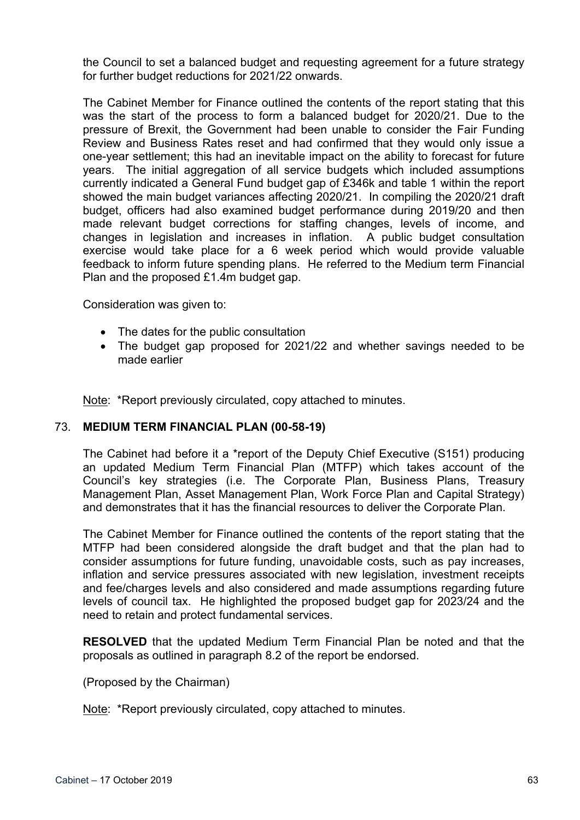the Council to set a balanced budget and requesting agreement for a future strategy for further budget reductions for 2021/22 onwards.

The Cabinet Member for Finance outlined the contents of the report stating that this was the start of the process to form a balanced budget for 2020/21. Due to the pressure of Brexit, the Government had been unable to consider the Fair Funding Review and Business Rates reset and had confirmed that they would only issue a one-year settlement; this had an inevitable impact on the ability to forecast for future years. The initial aggregation of all service budgets which included assumptions currently indicated a General Fund budget gap of £346k and table 1 within the report showed the main budget variances affecting 2020/21. In compiling the 2020/21 draft budget, officers had also examined budget performance during 2019/20 and then made relevant budget corrections for staffing changes, levels of income, and changes in legislation and increases in inflation. A public budget consultation exercise would take place for a 6 week period which would provide valuable feedback to inform future spending plans. He referred to the Medium term Financial Plan and the proposed £1.4m budget gap.

Consideration was given to:

- The dates for the public consultation
- The budget gap proposed for 2021/22 and whether savings needed to be made earlier

Note: \*Report previously circulated, copy attached to minutes.

### 73. **MEDIUM TERM FINANCIAL PLAN (00-58-19)**

The Cabinet had before it a \*report of the Deputy Chief Executive (S151) producing an updated Medium Term Financial Plan (MTFP) which takes account of the Council's key strategies (i.e. The Corporate Plan, Business Plans, Treasury Management Plan, Asset Management Plan, Work Force Plan and Capital Strategy) and demonstrates that it has the financial resources to deliver the Corporate Plan.

The Cabinet Member for Finance outlined the contents of the report stating that the MTFP had been considered alongside the draft budget and that the plan had to consider assumptions for future funding, unavoidable costs, such as pay increases, inflation and service pressures associated with new legislation, investment receipts and fee/charges levels and also considered and made assumptions regarding future levels of council tax. He highlighted the proposed budget gap for 2023/24 and the need to retain and protect fundamental services.

**RESOLVED** that the updated Medium Term Financial Plan be noted and that the proposals as outlined in paragraph 8.2 of the report be endorsed.

(Proposed by the Chairman)

Note: \*Report previously circulated, copy attached to minutes.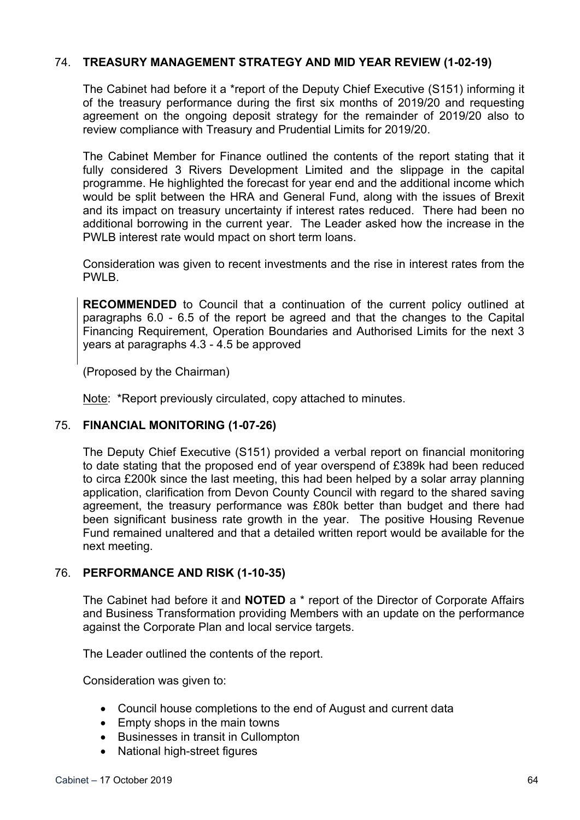## 74. **TREASURY MANAGEMENT STRATEGY AND MID YEAR REVIEW (1-02-19)**

The Cabinet had before it a \*report of the Deputy Chief Executive (S151) informing it of the treasury performance during the first six months of 2019/20 and requesting agreement on the ongoing deposit strategy for the remainder of 2019/20 also to review compliance with Treasury and Prudential Limits for 2019/20.

The Cabinet Member for Finance outlined the contents of the report stating that it fully considered 3 Rivers Development Limited and the slippage in the capital programme. He highlighted the forecast for year end and the additional income which would be split between the HRA and General Fund, along with the issues of Brexit and its impact on treasury uncertainty if interest rates reduced. There had been no additional borrowing in the current year. The Leader asked how the increase in the PWLB interest rate would mpact on short term loans.

Consideration was given to recent investments and the rise in interest rates from the PWLB.

**RECOMMENDED** to Council that a continuation of the current policy outlined at paragraphs 6.0 - 6.5 of the report be agreed and that the changes to the Capital Financing Requirement, Operation Boundaries and Authorised Limits for the next 3 years at paragraphs 4.3 - 4.5 be approved

(Proposed by the Chairman)

Note: \*Report previously circulated, copy attached to minutes.

### 75. **FINANCIAL MONITORING (1-07-26)**

The Deputy Chief Executive (S151) provided a verbal report on financial monitoring to date stating that the proposed end of year overspend of £389k had been reduced to circa £200k since the last meeting, this had been helped by a solar array planning application, clarification from Devon County Council with regard to the shared saving agreement, the treasury performance was £80k better than budget and there had been significant business rate growth in the year. The positive Housing Revenue Fund remained unaltered and that a detailed written report would be available for the next meeting.

### 76. **PERFORMANCE AND RISK (1-10-35)**

The Cabinet had before it and **NOTED** a \* report of the Director of Corporate Affairs and Business Transformation providing Members with an update on the performance against the Corporate Plan and local service targets.

The Leader outlined the contents of the report.

Consideration was given to:

- Council house completions to the end of August and current data
- Empty shops in the main towns
- Businesses in transit in Cullompton
- National high-street figures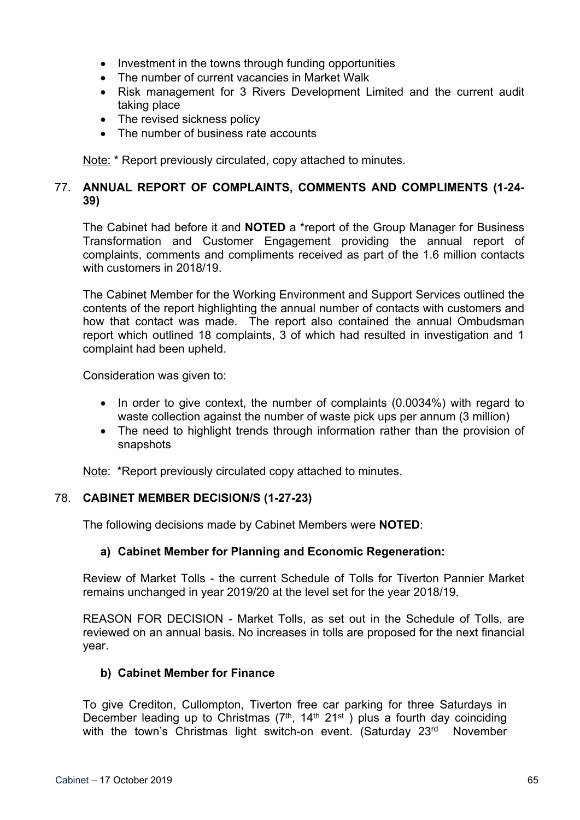- Investment in the towns through funding opportunities
- The number of current vacancies in Market Walk
- Risk management for 3 Rivers Development Limited and the current audit taking place
- The revised sickness policy
- The number of business rate accounts

Note: \* Report previously circulated, copy attached to minutes.

# 77. **ANNUAL REPORT OF COMPLAINTS, COMMENTS AND COMPLIMENTS (1-24- 39)**

The Cabinet had before it and **NOTED** a \*report of the Group Manager for Business Transformation and Customer Engagement providing the annual report of complaints, comments and compliments received as part of the 1.6 million contacts with customers in 2018/19.

The Cabinet Member for the Working Environment and Support Services outlined the contents of the report highlighting the annual number of contacts with customers and how that contact was made. The report also contained the annual Ombudsman report which outlined 18 complaints, 3 of which had resulted in investigation and 1 complaint had been upheld.

Consideration was given to:

- In order to give context, the number of complaints (0.0034%) with regard to waste collection against the number of waste pick ups per annum (3 million)
- The need to highlight trends through information rather than the provision of snapshots

Note: \*Report previously circulated copy attached to minutes.

### 78. **CABINET MEMBER DECISION/S (1-27-23)**

The following decisions made by Cabinet Members were **NOTED**:

### **a) Cabinet Member for Planning and Economic Regeneration:**

Review of Market Tolls - the current Schedule of Tolls for Tiverton Pannier Market remains unchanged in year 2019/20 at the level set for the year 2018/19.

REASON FOR DECISION - Market Tolls, as set out in the Schedule of Tolls, are reviewed on an annual basis. No increases in tolls are proposed for the next financial year.

### **b) Cabinet Member for Finance**

To give Crediton, Cullompton, Tiverton free car parking for three Saturdays in December leading up to Christmas  $(7<sup>th</sup>, 14<sup>th</sup> 21<sup>st</sup>)$  plus a fourth day coinciding with the town's Christmas light switch-on event. (Saturday 23<sup>rd</sup> November